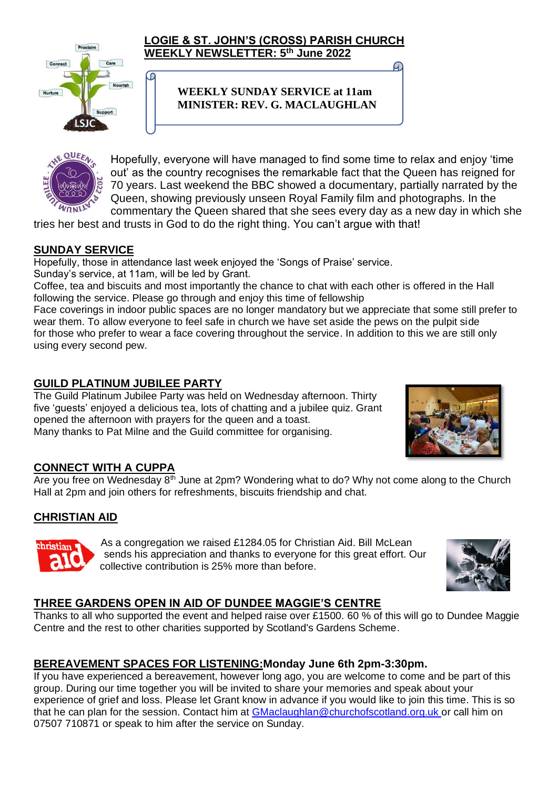

စ

#### **LOGIE & ST. JOHN'S (CROSS) PARISH CHURCH WEEKLY NEWSLETTER: 5 th June 2022**

### **WEEKLY SUNDAY SERVICE at 11am MINISTER: REV. G. MACLAUGHLAN**



Hopefully, everyone will have managed to find some time to relax and enjoy 'time out' as the country recognises the remarkable fact that the Queen has reigned for 70 years. Last weekend the BBC showed a documentary, partially narrated by the Queen, showing previously unseen Royal Family film and photographs. In the commentary the Queen shared that she sees every day as a new day in which she

tries her best and trusts in God to do the right thing. You can't argue with that!

## **SUNDAY SERVICE**

Hopefully, those in attendance last week enjoyed the 'Songs of Praise' service. Sunday's service, at 11am, will be led by Grant.

Coffee, tea and biscuits and most importantly the chance to chat with each other is offered in the Hall following the service. Please go through and enjoy this time of fellowship

Face coverings in indoor public spaces are no longer mandatory but we appreciate that some still prefer to wear them. To allow everyone to feel safe in church we have set aside the pews on the pulpit side for those who prefer to wear a face covering throughout the service. In addition to this we are still only using every second pew.

## **GUILD PLATINUM JUBILEE PARTY**

The Guild Platinum Jubilee Party was held on Wednesday afternoon. Thirty five 'guests' enjoyed a delicious tea, lots of chatting and a jubilee quiz. Grant opened the afternoon with prayers for the queen and a toast. Many thanks to Pat Milne and the Guild committee for organising.



## **CONNECT WITH A CUPPA**

Are you free on Wednesday  $8<sup>th</sup>$  June at 2pm? Wondering what to do? Why not come along to the Church Hall at 2pm and join others for refreshments, biscuits friendship and chat.

# **CHRISTIAN AID**



As a congregation we raised £1284.05 for Christian Aid. Bill McLean sends his appreciation and thanks to everyone for this great effort. Our collective contribution is 25% more than before.



## **THREE GARDENS OPEN IN AID OF DUNDEE MAGGIE'S CENTRE**

Thanks to all who supported the event and helped raise over £1500. 60 % of this will go to Dundee Maggie Centre and the rest to other charities supported by Scotland's Gardens Scheme.

# **BEREAVEMENT SPACES FOR LISTENING:Monday June 6th 2pm-3:30pm.**

If you have experienced a bereavement, however long ago, you are welcome to come and be part of this group. During our time together you will be invited to share your memories and speak about your experience of grief and loss. Please let Grant know in advance if you would like to join this time. This is so that he can plan for the session. Contact him at [GMaclaughlan@churchofscotland.org.uk](mailto:GMaclaughlan@churchofscotland.org.uk) or call him on 07507 710871 or speak to him after the service on Sunday.